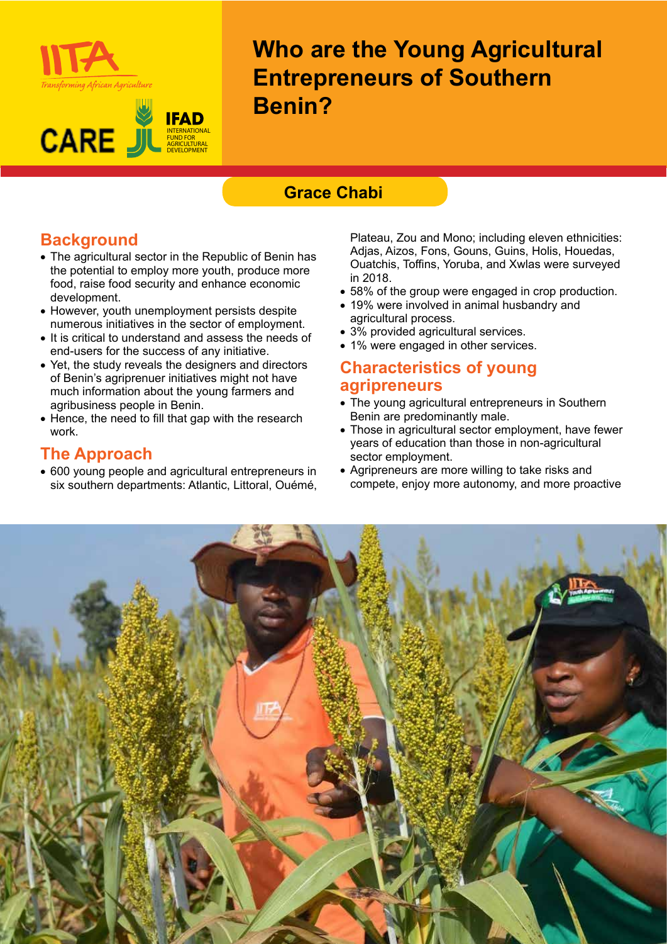



**Who are the Young Agricultural Entrepreneurs of Southern Benin?**

## **Grace Chabi**

# **Background**

- The agricultural sector in the Republic of Benin has the potential to employ more youth, produce more food, raise food security and enhance economic development.
- However, youth unemployment persists despite numerous initiatives in the sector of employment.
- It is critical to understand and assess the needs of end-users for the success of any initiative.
- Yet, the study reveals the designers and directors of Benin's agriprenuer initiatives might not have much information about the young farmers and agribusiness people in Benin.
- Hence, the need to fill that gap with the research work.

#### **The Approach**

• 600 young people and agricultural entrepreneurs in six southern departments: Atlantic, Littoral, Ouémé,

Plateau, Zou and Mono; including eleven ethnicities: Adjas, Aizos, Fons, Gouns, Guins, Holis, Houedas, Ouatchis, Toffins, Yoruba, and Xwlas were surveyed in 2018.

- 58% of the group were engaged in crop production.
- 19% were involved in animal husbandry and agricultural process.
- 3% provided agricultural services.
- 1% were engaged in other services.

#### **Characteristics of young agripreneurs**

- The young agricultural entrepreneurs in Southern Benin are predominantly male.
- Those in agricultural sector employment, have fewer years of education than those in non-agricultural sector employment.
- Agripreneurs are more willing to take risks and compete, enjoy more autonomy, and more proactive